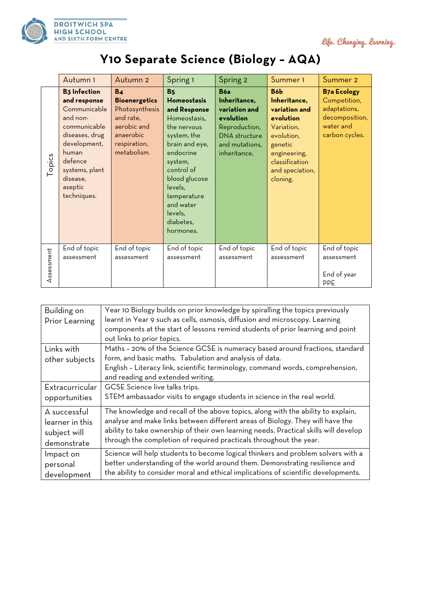

life. Changing. learning.

## **Y10 Separate Science (Biology – AQA)**

|            | Autumn 1                                                                                                                                                                                      | Autumn 2                                                                                                                         | Spring 1                                                                                                                                                                                                                                                       | Spring 2                                                                                                                            | Summer <sub>1</sub>                                                                                                                                                   | Summer 2                                                                                            |
|------------|-----------------------------------------------------------------------------------------------------------------------------------------------------------------------------------------------|----------------------------------------------------------------------------------------------------------------------------------|----------------------------------------------------------------------------------------------------------------------------------------------------------------------------------------------------------------------------------------------------------------|-------------------------------------------------------------------------------------------------------------------------------------|-----------------------------------------------------------------------------------------------------------------------------------------------------------------------|-----------------------------------------------------------------------------------------------------|
| Topics     | <b>B3</b> Infection<br>and response<br>Communicable<br>and non-<br>communicable<br>diseases, drug<br>development,<br>human<br>defence<br>systems, plant<br>disease,<br>aseptic<br>techniques. | B <sub>4</sub><br><b>Bioenergetics</b><br>Photosynthesis<br>and rate,<br>aerobic and<br>anaerobic<br>respiration,<br>metabolism. | <b>B</b> <sub>5</sub><br><b>Homeostasis</b><br>and Response<br>Homeostasis,<br>the nervous<br>system, the<br>brain and eye,<br>endocrine<br>system,<br>control of<br>blood glucose<br>levels,<br>temperature<br>and water<br>levels,<br>diabetes,<br>hormones. | <b>B6a</b><br>Inheritance,<br>variation and<br>evolution<br>Reproduction,<br><b>DNA</b> structure<br>and mutations,<br>inheritance, | B6 <sub>b</sub><br>Inheritance,<br>variation and<br>evolution<br>Variation,<br>evolution,<br>genetic<br>engineering,<br>classification<br>and speciation,<br>cloning. | <b>B7a Ecology</b><br>Competition,<br>adaptations,<br>decomposition,<br>water and<br>carbon cycles. |
| Assessment | End of topic<br>assessment                                                                                                                                                                    | End of topic<br>assessment                                                                                                       | End of topic<br>assessment                                                                                                                                                                                                                                     | End of topic<br>assessment                                                                                                          | End of topic<br>assessment                                                                                                                                            | End of topic<br>assessment<br>End of year<br><b>PPE</b>                                             |

| Building on<br>Prior Learning | Year 10 Biology builds on prior knowledge by spiralling the topics previously<br>learnt in Year 9 such as cells, osmosis, diffusion and microscopy. Learning<br>components at the start of lessons remind students of prior learning and point<br>out links to prior topics. |
|-------------------------------|------------------------------------------------------------------------------------------------------------------------------------------------------------------------------------------------------------------------------------------------------------------------------|
| Links with<br>other subjects  | Maths - 20% of the Science GCSE is numeracy based around fractions, standard<br>form, and basic maths. Tabulation and analysis of data.<br>English - Literacy link, scientific terminology, command words, comprehension,<br>and reading and extended writing.               |
| Extracurricular               | GCSE Science live talks trips.                                                                                                                                                                                                                                               |
| opportunities                 | STEM ambassador visits to engage students in science in the real world.                                                                                                                                                                                                      |
| A successful                  | The knowledge and recall of the above topics, along with the ability to explain,                                                                                                                                                                                             |
| learner in this               | analyse and make links between different areas of Biology. They will have the                                                                                                                                                                                                |
| subject will                  | ability to take ownership of their own learning needs. Practical skills will develop                                                                                                                                                                                         |
| demonstrate                   | through the completion of required practicals throughout the year.                                                                                                                                                                                                           |
| Impact on                     | Science will help students to become logical thinkers and problem solvers with a                                                                                                                                                                                             |
| personal                      | better understanding of the world around them. Demonstrating resilience and                                                                                                                                                                                                  |
| development                   | the ability to consider moral and ethical implications of scientific developments.                                                                                                                                                                                           |